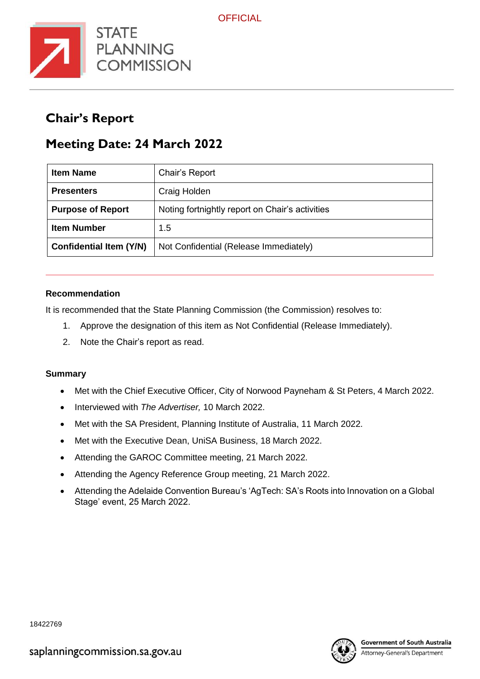

## **Chair's Report**

# **Meeting Date: 24 March 2022**

| <b>Item Name</b>               | Chair's Report                                  |
|--------------------------------|-------------------------------------------------|
| <b>Presenters</b>              | Craig Holden                                    |
| <b>Purpose of Report</b>       | Noting fortnightly report on Chair's activities |
| <b>Item Number</b>             | 1.5                                             |
| <b>Confidential Item (Y/N)</b> | Not Confidential (Release Immediately)          |

#### **Recommendation**

It is recommended that the State Planning Commission (the Commission) resolves to:

- 1. Approve the designation of this item as Not Confidential (Release Immediately).
- 2. Note the Chair's report as read.

#### **Summary**

- Met with the Chief Executive Officer, City of Norwood Payneham & St Peters, 4 March 2022.
- Interviewed with *The Advertiser,* 10 March 2022.
- Met with the SA President, Planning Institute of Australia, 11 March 2022.
- Met with the Executive Dean, UniSA Business, 18 March 2022.
- Attending the GAROC Committee meeting, 21 March 2022.
- Attending the Agency Reference Group meeting, 21 March 2022.
- Attending the Adelaide Convention Bureau's 'AgTech: SA's Roots into Innovation on a Global Stage' event, 25 March 2022.



18422769

Attorney-General's Department